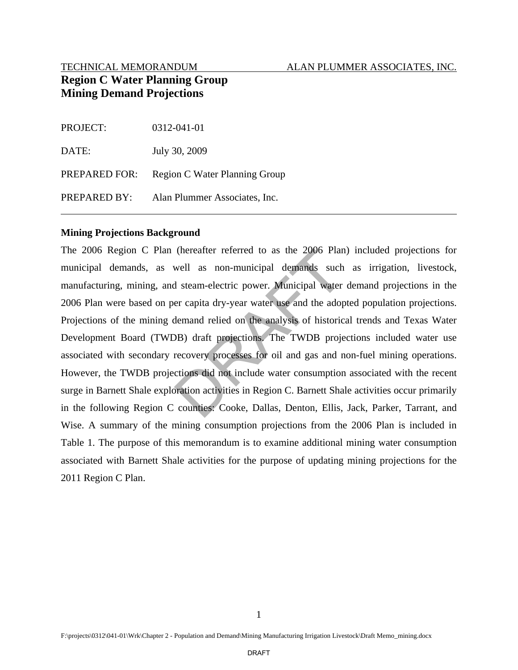#### TECHNICAL MEMORANDUM ALAN PLUMMER ASSOCIATES, INC.

# **Region C Water Planning Group Mining Demand Projections**

| <b>PROJECT:</b> | 0312-041-01                   |
|-----------------|-------------------------------|
| DATE:           | July 30, 2009                 |
| PREPARED FOR:   | Region C Water Planning Group |
| PREPARED BY:    | Alan Plummer Associates, Inc. |

#### **Mining Projections Background**

The 2006 Region C Plan (hereafter referred to as the 2006 Plan) included projections for municipal demands, as well as non-municipal demands such as irrigation, livestock, manufacturing, mining, and steam-electric power. Municipal water demand projections in the 2006 Plan were based on per capita dry-year water use and the adopted population projections. Projections of the mining demand relied on the analysis of historical trends and Texas Water Development Board (TWDB) draft projections. The TWDB projections included water use associated with secondary recovery processes for oil and gas and non-fuel mining operations. However, the TWDB projections did not include water consumption associated with the recent surge in Barnett Shale exploration activities in Region C. Barnett Shale activities occur primarily in the following Region C counties: Cooke, Dallas, Denton, Ellis, Jack, Parker, Tarrant, and Wise. A summary of the mining consumption projections from the 2006 Plan is included in Table 1. The purpose of this memorandum is to examine additional mining water consumption associated with Barnett Shale activities for the purpose of updating mining projections for the 2011 Region C Plan. (hereafter referred to as the 2006 Plan<br>well as non-municipal demands such<br>d steam-electric power. Municipal water<br>er capita dry-year water use and the adop<br>demand relied on the analysis of historic<br>DB) draft projections.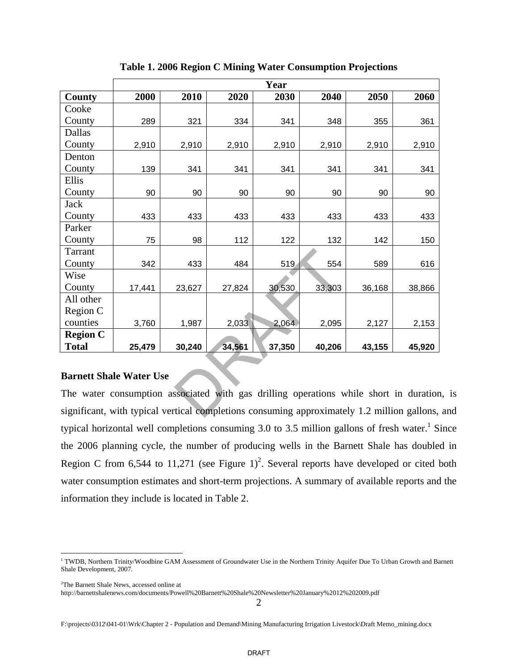|                                                                                             | Year   |        |        |        |        |        |        |
|---------------------------------------------------------------------------------------------|--------|--------|--------|--------|--------|--------|--------|
| County                                                                                      | 2000   | 2010   | 2020   | 2030   | 2040   | 2050   | 2060   |
| Cooke                                                                                       |        |        |        |        |        |        |        |
| County                                                                                      | 289    | 321    | 334    | 341    | 348    | 355    | 361    |
| Dallas                                                                                      |        |        |        |        |        |        |        |
| County                                                                                      | 2,910  | 2,910  | 2,910  | 2,910  | 2,910  | 2,910  | 2,910  |
| Denton                                                                                      |        |        |        |        |        |        |        |
| County                                                                                      | 139    | 341    | 341    | 341    | 341    | 341    | 341    |
| Ellis                                                                                       |        |        |        |        |        |        |        |
| County                                                                                      | 90     | 90     | 90     | 90     | 90     | 90     | 90     |
| <b>Jack</b>                                                                                 |        |        |        |        |        |        |        |
| County                                                                                      | 433    | 433    | 433    | 433    | 433    | 433    | 433    |
| Parker                                                                                      |        |        |        |        |        |        |        |
| County                                                                                      | 75     | 98     | 112    | 122    | 132    | 142    | 150    |
| Tarrant                                                                                     |        |        |        |        |        |        |        |
| County                                                                                      | 342    | 433    | 484    | 519    | 554    | 589    | 616    |
| Wise                                                                                        |        |        |        |        |        |        |        |
| County                                                                                      | 17,441 | 23,627 | 27,824 | 30,530 | 33,303 | 36,168 | 38,866 |
| All other                                                                                   |        |        |        |        |        |        |        |
| Region C                                                                                    |        |        |        |        |        |        |        |
| counties                                                                                    | 3,760  | 1,987  | 2,033  | 2,064  | 2,095  | 2,127  | 2,153  |
| <b>Region C</b>                                                                             |        |        |        |        |        |        |        |
| <b>Total</b>                                                                                | 25,479 | 30,240 | 34,561 | 37,350 | 40,206 | 43,155 | 45,920 |
|                                                                                             |        |        |        |        |        |        |        |
| <b>Barnett Shale Water Use</b>                                                              |        |        |        |        |        |        |        |
| The water consumption associated with gas drilling operations while short in duration       |        |        |        |        |        |        |        |
| significant, with typical vertical completions consuming approximately 1.2 million gallons, |        |        |        |        |        |        |        |

**Table 1. 2006 Region C Mining Water Consumption Projections** 

#### **Barnett Shale Water Use**

The water consumption associated with gas drilling operations while short in duration, is significant, with typical vertical completions consuming approximately 1.2 million gallons, and typical horizontal well completions consuming 3.0 to 3.5 million gallons of fresh water.<sup>1</sup> Since the 2006 planning cycle, the number of producing wells in the Barnett Shale has doubled in Region C from 6,544 to 11,271 (see Figure 1)<sup>2</sup>. Several reports have developed or cited both water consumption estimates and short-term projections. A summary of available reports and the information they include is located in Table 2.

1

<sup>&</sup>lt;sup>1</sup> TWDB, Northern Trinity/Woodbine GAM Assessment of Groundwater Use in the Northern Trinity Aquifer Due To Urban Growth and Barnett Shale Development, 2007.

<sup>2</sup> The Barnett Shale News, accessed online at

http://barnettshalenews.com/documents/Powell%20Barnett%20Shale%20Newsletter%20January%2012%202009.pdf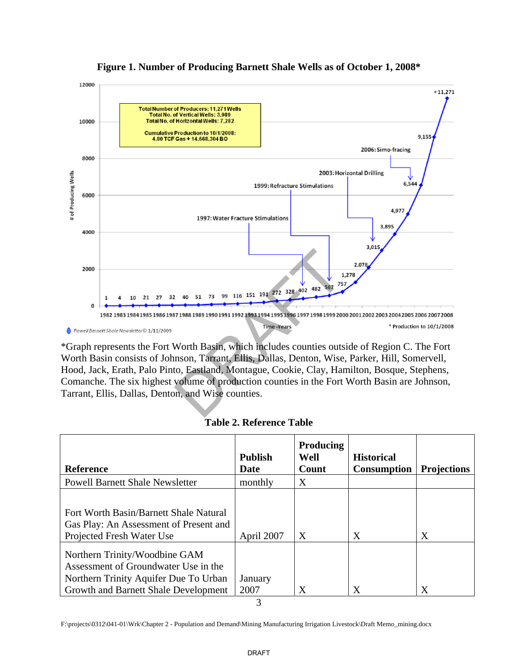

# **Figure 1. Number of Producing Barnett Shale Wells as of October 1, 2008\***

\*Graph represents the Fort Worth Basin, which includes counties outside of Region C. The Fort Worth Basin consists of Johnson, Tarrant, Ellis, Dallas, Denton, Wise, Parker, Hill, Somervell, Hood, Jack, Erath, Palo Pinto, Eastland, Montague, Cookie, Clay, Hamilton, Bosque, Stephens, Comanche. The six highest volume of production counties in the Fort Worth Basin are Johnson, Tarrant, Ellis, Dallas, Denton, and Wise counties.

#### **Table 2. Reference Table**

| Reference                                                                                                                                              | <b>Publish</b><br>Date | <b>Producing</b><br>Well<br>Count | <b>Historical</b><br><b>Consumption</b> | <b>Projections</b> |
|--------------------------------------------------------------------------------------------------------------------------------------------------------|------------------------|-----------------------------------|-----------------------------------------|--------------------|
| <b>Powell Barnett Shale Newsletter</b>                                                                                                                 | monthly                | X                                 |                                         |                    |
| Fort Worth Basin/Barnett Shale Natural<br>Gas Play: An Assessment of Present and<br>Projected Fresh Water Use                                          | April 2007             | X                                 | X                                       | X                  |
| Northern Trinity/Woodbine GAM<br>Assessment of Groundwater Use in the<br>Northern Trinity Aquifer Due To Urban<br>Growth and Barnett Shale Development | January<br>2007        | X                                 | X                                       | X                  |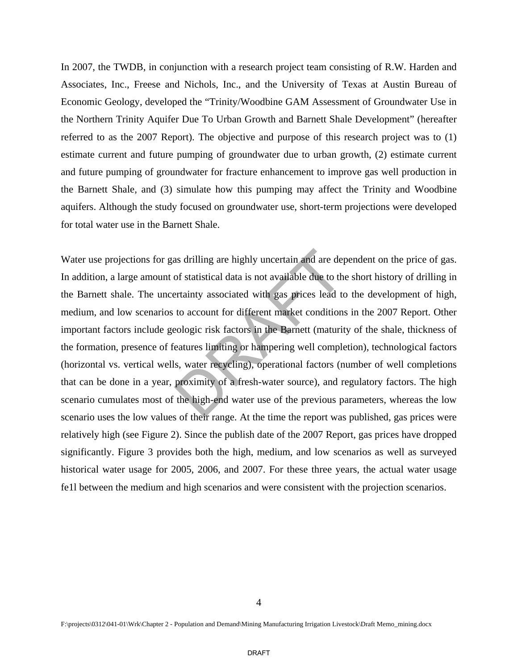In 2007, the TWDB, in conjunction with a research project team consisting of R.W. Harden and Associates, Inc., Freese and Nichols, Inc., and the University of Texas at Austin Bureau of Economic Geology, developed the "Trinity/Woodbine GAM Assessment of Groundwater Use in the Northern Trinity Aquifer Due To Urban Growth and Barnett Shale Development" (hereafter referred to as the 2007 Report). The objective and purpose of this research project was to (1) estimate current and future pumping of groundwater due to urban growth, (2) estimate current and future pumping of groundwater for fracture enhancement to improve gas well production in the Barnett Shale, and (3) simulate how this pumping may affect the Trinity and Woodbine aquifers. Although the study focused on groundwater use, short-term projections were developed for total water use in the Barnett Shale.

Water use projections for gas drilling are highly uncertain and are dependent on the price of gas. In addition, a large amount of statistical data is not available due to the short history of drilling in the Barnett shale. The uncertainty associated with gas prices lead to the development of high, medium, and low scenarios to account for different market conditions in the 2007 Report. Other important factors include geologic risk factors in the Barnett (maturity of the shale, thickness of the formation, presence of features limiting or hampering well completion), technological factors (horizontal vs. vertical wells, water recycling), operational factors (number of well completions that can be done in a year, proximity of a fresh-water source), and regulatory factors. The high scenario cumulates most of the high-end water use of the previous parameters, whereas the low scenario uses the low values of their range. At the time the report was published, gas prices were relatively high (see Figure 2). Since the publish date of the 2007 Report, gas prices have dropped significantly. Figure 3 provides both the high, medium, and low scenarios as well as surveyed historical water usage for 2005, 2006, and 2007. For these three years, the actual water usage fe1l between the medium and high scenarios and were consistent with the projection scenarios. as drilling are highly uncertain and are depof statistical data is not available due to the estainty associated with gas prices lead to to account for different market condition eologic risk factors in the Barnett (maturit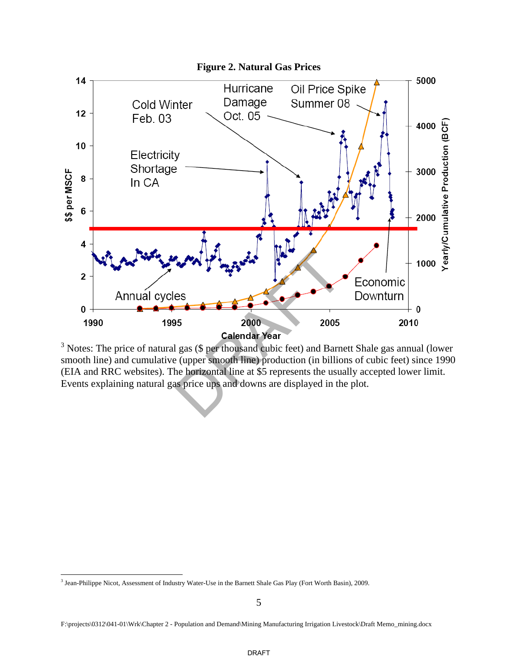

 $3$  Notes: The price of natural gas (\$ per thousand cubic feet) and Barnett Shale gas annual (lower smooth line) and cumulative (upper smooth line) production (in billions of cubic feet) since 1990 (EIA and RRC websites). The horizontal line at \$5 represents the usually accepted lower limit. Events explaining natural gas price ups and downs are displayed in the plot.

 $\overline{a}$ 

<sup>&</sup>lt;sup>3</sup> Jean-Philippe Nicot, Assessment of Industry Water-Use in the Barnett Shale Gas Play (Fort Worth Basin), 2009.

F:\projects\0312\041-01\Wrk\Chapter 2 - Population and Demand\Mining Manufacturing Irrigation Livestock\Draft Memo\_mining.docx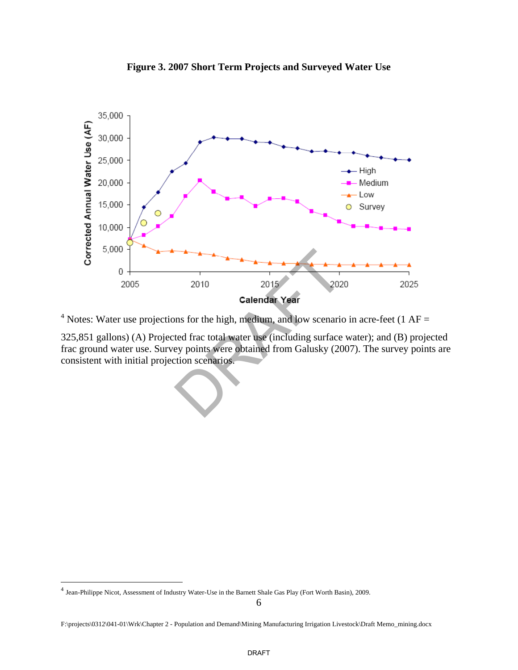

**Figure 3. 2007 Short Term Projects and Surveyed Water Use**

<sup>4</sup> Notes: Water use projections for the high, medium, and low scenario in acre-feet (1 AF =

325,851 gallons) (A) Projected frac total water use (including surface water); and (B) projected frac ground water use. Survey points were obtained from Galusky (2007). The survey points are consistent with initial projection scenarios.

 $\overline{a}$ 

<sup>&</sup>lt;sup>4</sup> Jean-Philippe Nicot, Assessment of Industry Water-Use in the Barnett Shale Gas Play (Fort Worth Basin), 2009.

F:\projects\0312\041-01\Wrk\Chapter 2 - Population and Demand\Mining Manufacturing Irrigation Livestock\Draft Memo\_mining.docx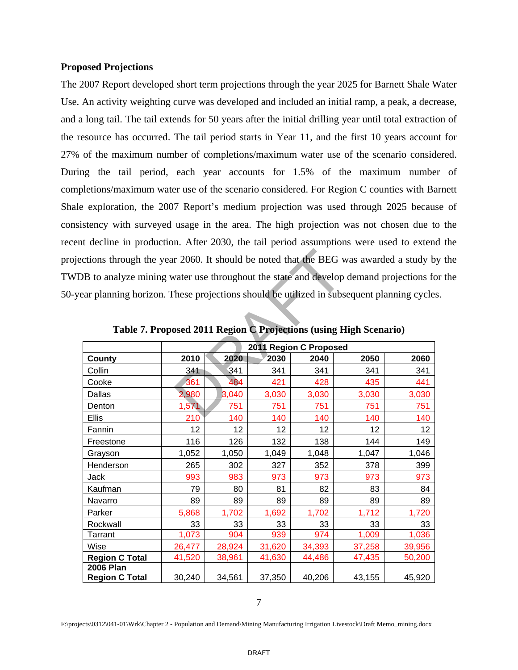#### **Proposed Projections**

The 2007 Report developed short term projections through the year 2025 for Barnett Shale Water Use. An activity weighting curve was developed and included an initial ramp, a peak, a decrease, and a long tail. The tail extends for 50 years after the initial drilling year until total extraction of the resource has occurred. The tail period starts in Year 11, and the first 10 years account for 27% of the maximum number of completions/maximum water use of the scenario considered. During the tail period, each year accounts for 1.5% of the maximum number of completions/maximum water use of the scenario considered. For Region C counties with Barnett Shale exploration, the 2007 Report's medium projection was used through 2025 because of consistency with surveyed usage in the area. The high projection was not chosen due to the recent decline in production. After 2030, the tail period assumptions were used to extend the projections through the year 2060. It should be noted that the BEG was awarded a study by the TWDB to analyze mining water use throughout the state and develop demand projections for the 50-year planning horizon. These projections should be utilized in subsequent planning cycles.

|                       |                        |        |        |        | Table 7. Proposed 2011 Region C Projections (using High Scenario) |        |  |
|-----------------------|------------------------|--------|--------|--------|-------------------------------------------------------------------|--------|--|
|                       | 2011 Region C Proposed |        |        |        |                                                                   |        |  |
| County                | 2010                   | 2020   | 2030   | 2040   | 2050                                                              | 2060   |  |
| Collin                | 341                    | 341    | 341    | 341    | 341                                                               | 341    |  |
| Cooke                 | 361                    | 484    | 421    | 428    | 435                                                               | 441    |  |
| Dallas                | 2,980                  | 3,040  | 3,030  | 3,030  | 3,030                                                             | 3,030  |  |
| Denton                | 1,571                  | 751    | 751    | 751    | 751                                                               | 751    |  |
| <b>Ellis</b>          | 210                    | 140    | 140    | 140    | 140                                                               | 140    |  |
| Fannin                | 12                     | 12     | 12     | 12     | 12                                                                | 12     |  |
| Freestone             | 116                    | 126    | 132    | 138    | 144                                                               | 149    |  |
| Grayson               | 1,052                  | 1,050  | 1,049  | 1,048  | 1,047                                                             | 1,046  |  |
| Henderson             | 265                    | 302    | 327    | 352    | 378                                                               | 399    |  |
| Jack                  | 993                    | 983    | 973    | 973    | 973                                                               | 973    |  |
| Kaufman               | 79                     | 80     | 81     | 82     | 83                                                                | 84     |  |
| Navarro               | 89                     | 89     | 89     | 89     | 89                                                                | 89     |  |
| Parker                | 5,868                  | 1,702  | 1,692  | 1,702  | 1,712                                                             | 1,720  |  |
| Rockwall              | 33                     | 33     | 33     | 33     | 33                                                                | 33     |  |
| <b>Tarrant</b>        | 1,073                  | 904    | 939    | 974    | 1,009                                                             | 1,036  |  |
| Wise                  | 26,477                 | 28,924 | 31,620 | 34,393 | 37,258                                                            | 39,956 |  |
| <b>Region C Total</b> | 41,520                 | 38,961 | 41,630 | 44,486 | 47,435                                                            | 50,200 |  |
| <b>2006 Plan</b>      |                        | 34,561 | 37,350 | 40,206 | 43,155                                                            | 45,920 |  |

**Table 7. Proposed 2011 Region C Projections (using High Scenario)**

7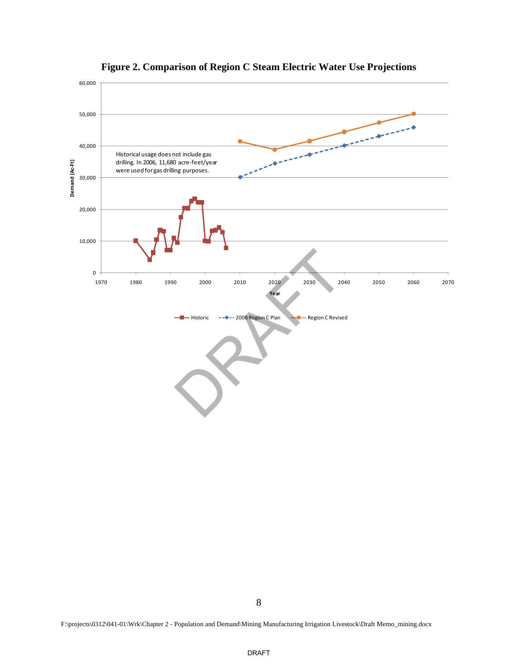

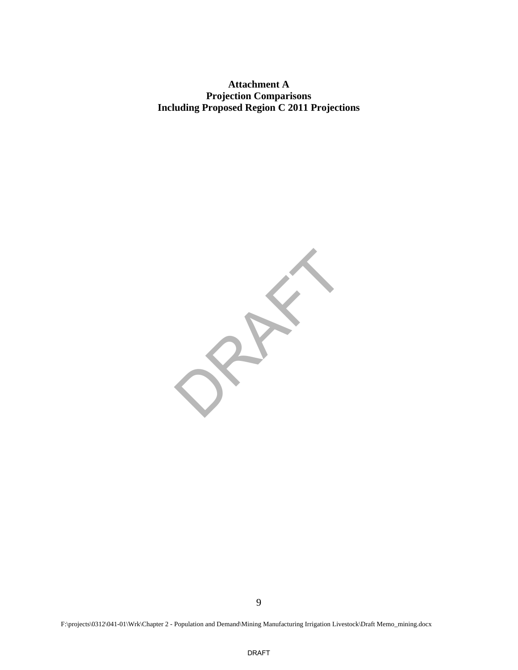**Attachment A Projection Comparisons Including Proposed Region C 2011 Projections**

 $25$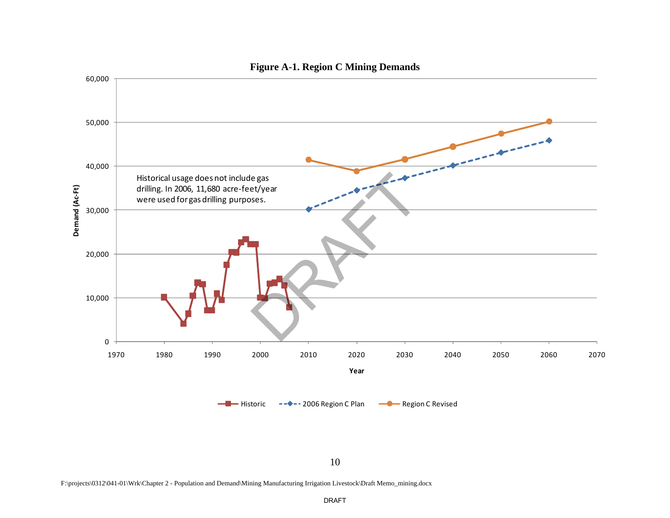

#### **Figure A-1. Region C Mining Demands**

10

F:\projects\0312\041-01\Wrk\Chapter 2 - Population and Demand\Mining Manufacturing Irrigation Livestock\Draft Memo\_mining.docx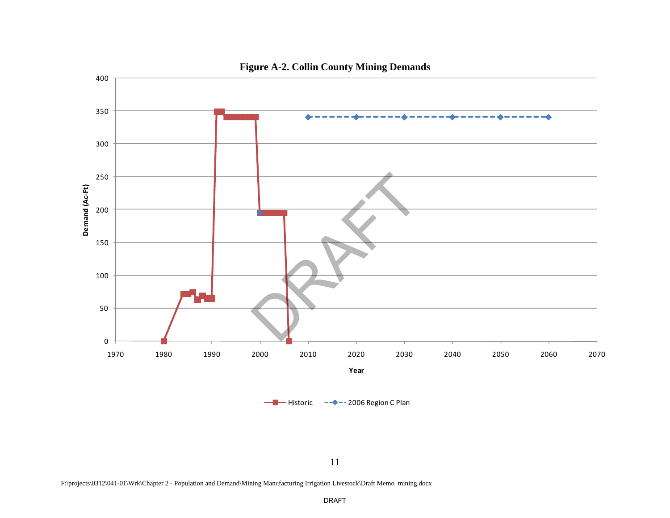

11

F:\projects\0312\041-01\Wrk\Chapter 2 - Population and Demand\Mining Manufacturing Irrigation Livestock\Draft Memo\_mining.docx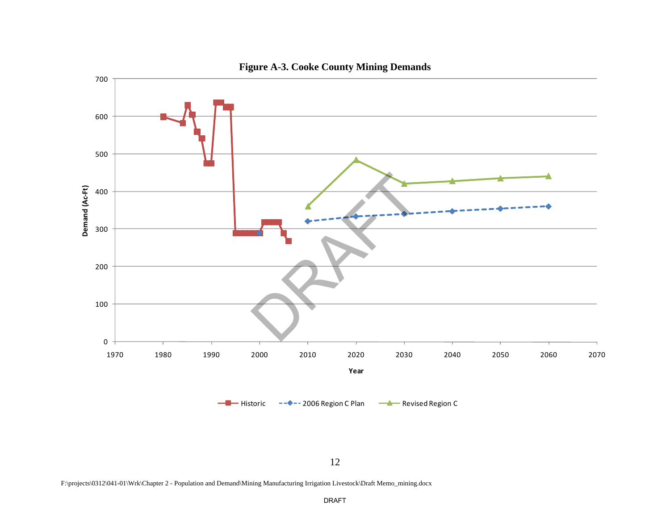

# **Figure A-3. Cooke County Mining Demands**

F:\projects\0312\041-01\Wrk\Chapter 2 - Population and Demand\Mining Manufacturing Irrigation Livestock\Draft Memo\_mining.docx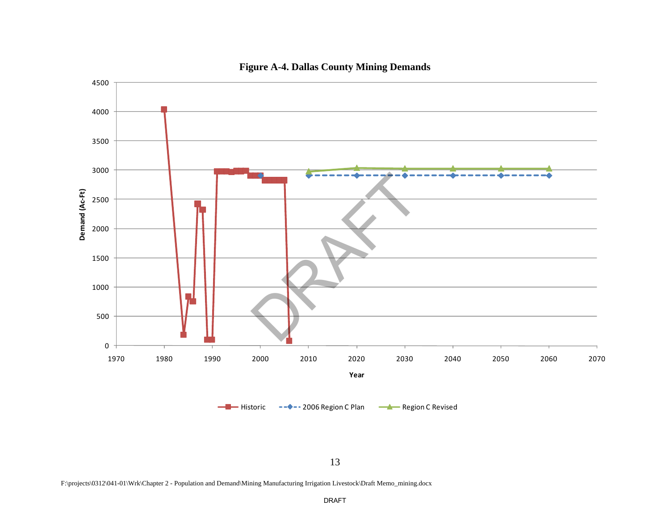

# **Figure A-4. Dallas County Mining Demands**

F:\projects\0312\041-01\Wrk\Chapter 2 - Population and Demand\Mining Manufacturing Irrigation Livestock\Draft Memo\_mining.docx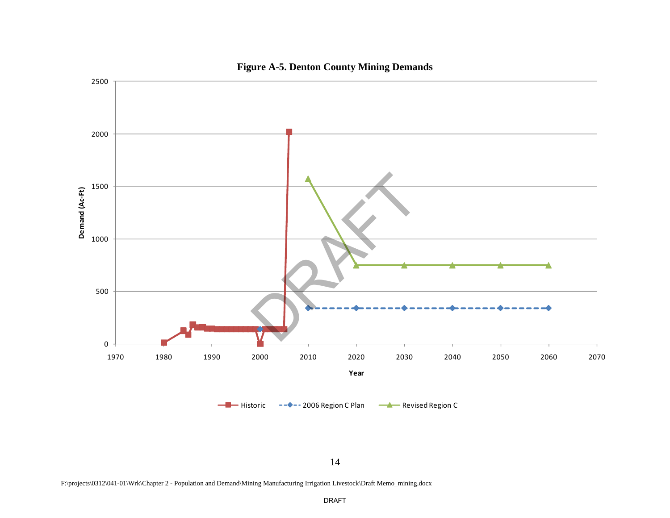

# **Figure A-5. Denton County Mining Demands**

F:\projects\0312\041-01\Wrk\Chapter 2 - Population and Demand\Mining Manufacturing Irrigation Livestock\Draft Memo\_mining.docx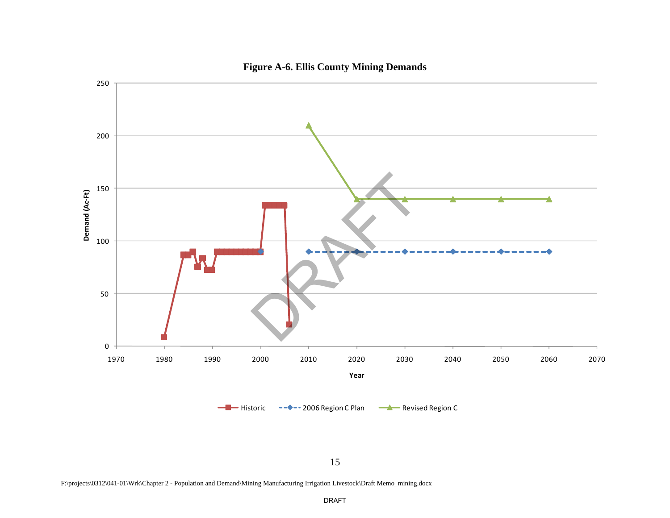

# **Figure A-6. Ellis County Mining Demands**

F:\projects\0312\041-01\Wrk\Chapter 2 - Population and Demand\Mining Manufacturing Irrigation Livestock\Draft Memo\_mining.docx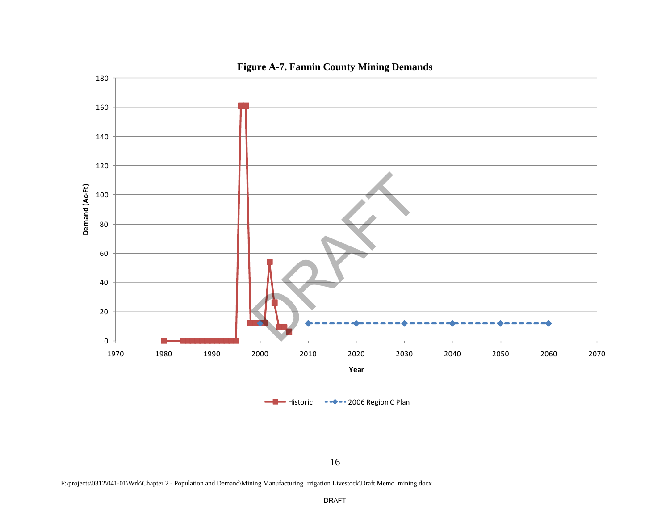

# **Figure A-7. Fannin County Mining Demands**

16

F:\projects\0312\041-01\Wrk\Chapter 2 - Population and Demand\Mining Manufacturing Irrigation Livestock\Draft Memo\_mining.docx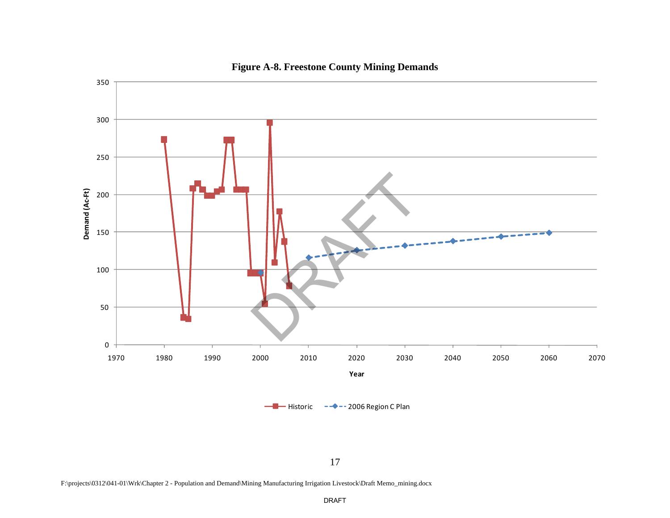

# **Figure A-8. Freestone County Mining Demands**

17

F:\projects\0312\041-01\Wrk\Chapter 2 - Population and Demand\Mining Manufacturing Irrigation Livestock\Draft Memo\_mining.docx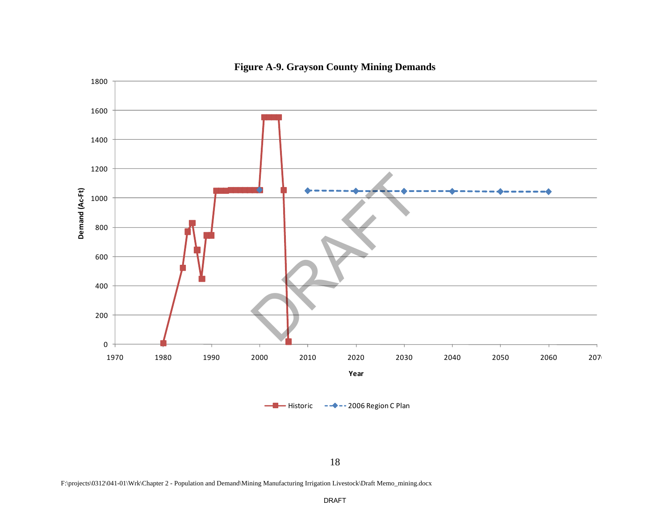

# **Figure A-9. Grayson County Mining Demands**

18

F:\projects\0312\041-01\Wrk\Chapter 2 - Population and Demand\Mining Manufacturing Irrigation Livestock\Draft Memo\_mining.docx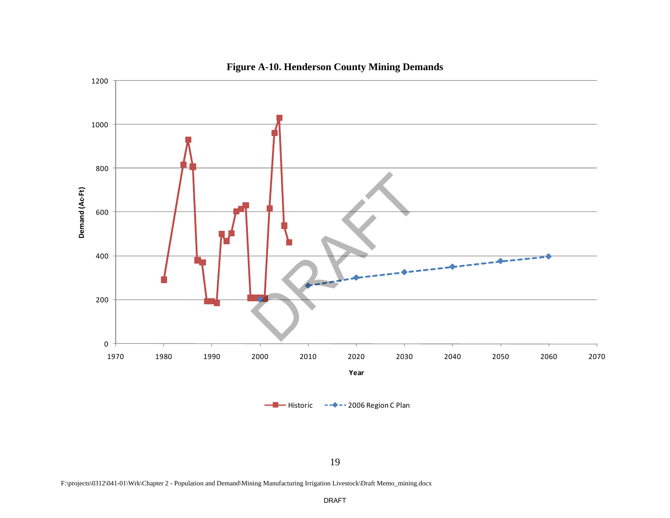

# **Figure A-10. Henderson County Mining Demands**

19

F:\projects\0312\041-01\Wrk\Chapter 2 - Population and Demand\Mining Manufacturing Irrigation Livestock\Draft Memo\_mining.docx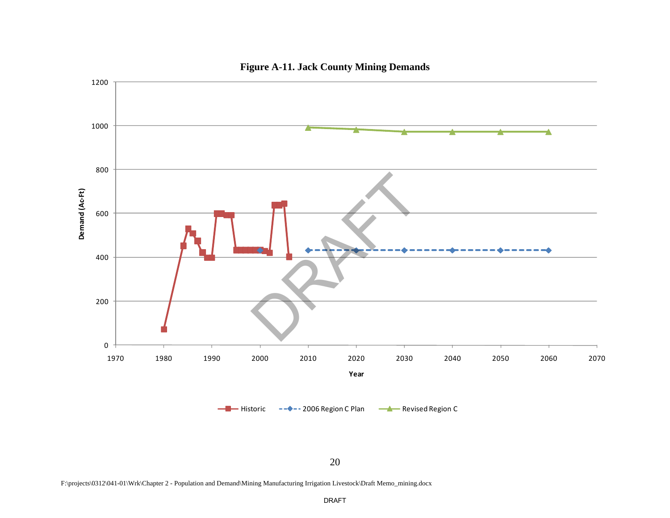

# **Figure A-11. Jack County Mining Demands**

F:\projects\0312\041-01\Wrk\Chapter 2 - Population and Demand\Mining Manufacturing Irrigation Livestock\Draft Memo\_mining.docx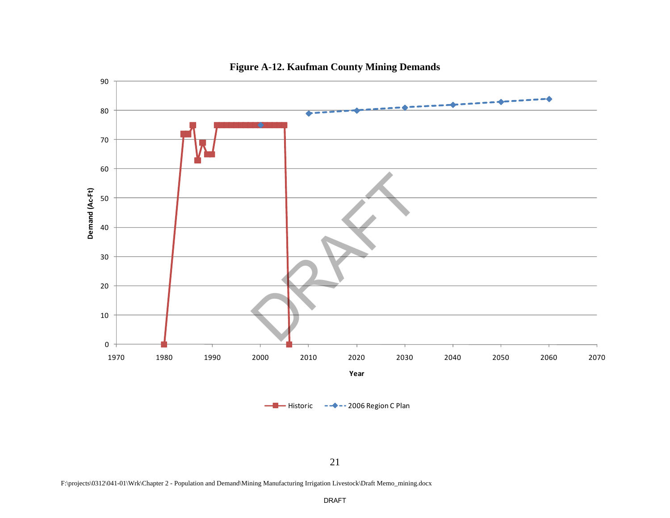

# **Figure A-12. Kaufman County Mining Demands**

21

F:\projects\0312\041-01\Wrk\Chapter 2 - Population and Demand\Mining Manufacturing Irrigation Livestock\Draft Memo\_mining.docx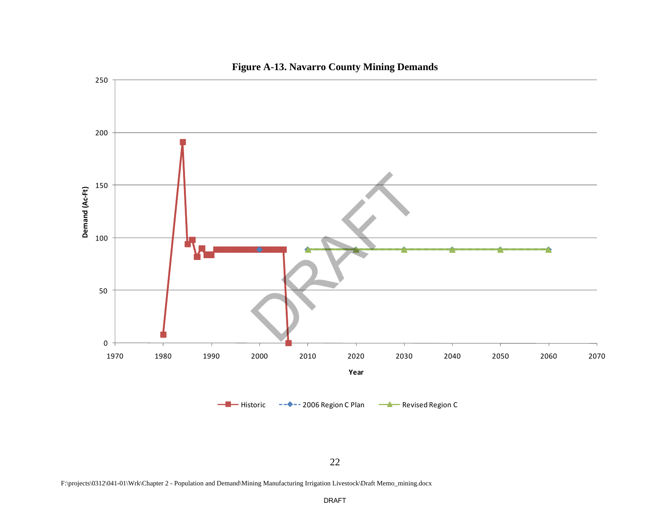

# **Figure A-13. Navarro County Mining Demands**

F:\projects\0312\041-01\Wrk\Chapter 2 - Population and Demand\Mining Manufacturing Irrigation Livestock\Draft Memo\_mining.docx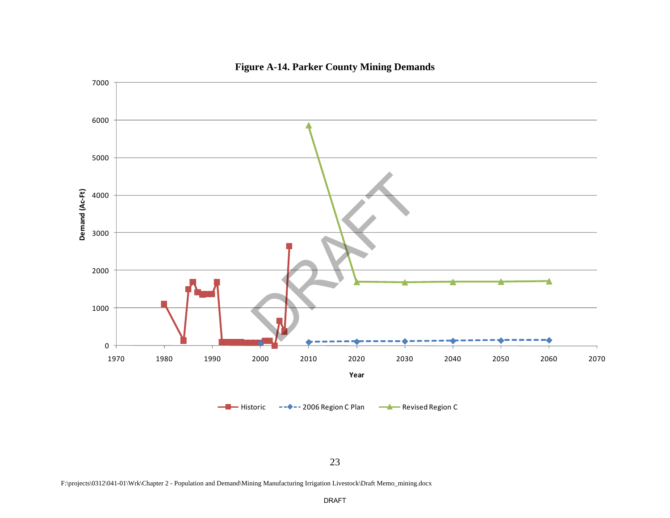

# **Figure A-14. Parker County Mining Demands**

23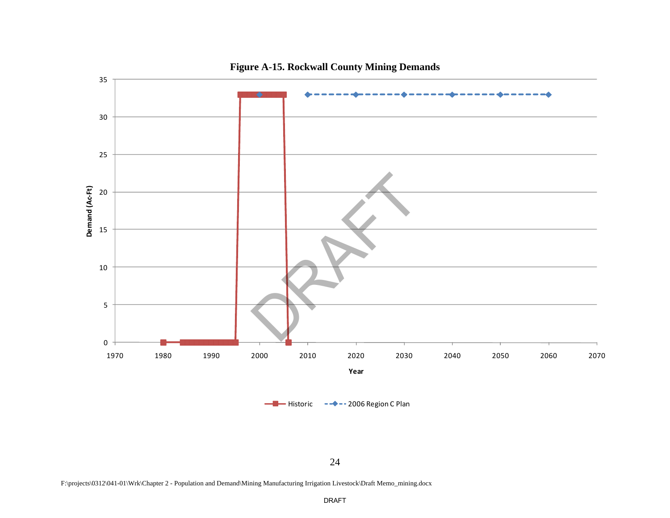

# **Figure A-15. Rockwall County Mining Demands**

24

F:\projects\0312\041-01\Wrk\Chapter 2 - Population and Demand\Mining Manufacturing Irrigation Livestock\Draft Memo\_mining.docx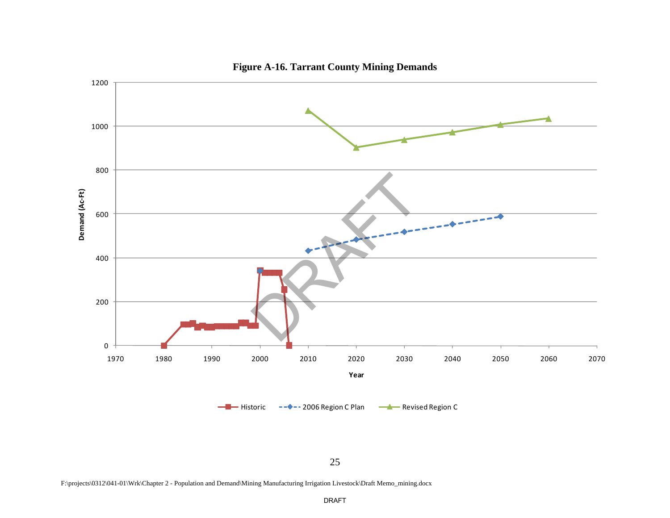

**Figure A-16. Tarrant County Mining Demands** 

F:\projects\0312\041-01\Wrk\Chapter 2 - Population and Demand\Mining Manufacturing Irrigation Livestock\Draft Memo\_mining.docx